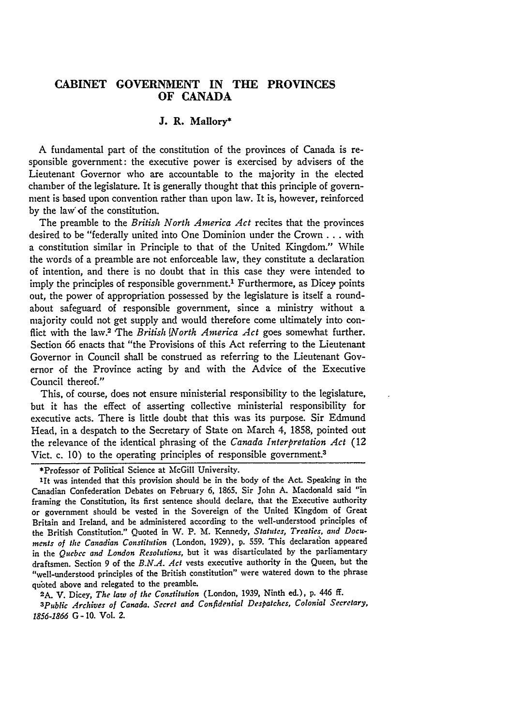# **CABINET GOVERNMENT IN THE PROVINCES OF CANADA**

# **J. R. Mallory\***

**A** fundamental part of the constitution of the provinces of Canada is responsible government: the executive power is exercised **by** advisers of the Lieutenant Governor who are accountable to the majority in the elected chamber of the legislature. It is generally thought that this principle of government is based upon convention rather than upon law. It is, however, reinforced **by** the law" of the constitution.

The preamble to the *British North America Act* recites that the provinces desired to be "federally united into One Dominion under the Crown **...** with a constitution similar in Principle to that of the United Kingdom." While the words of a preamble are not enforceable law, they constitute a declaration of intention, and there is no doubt that in this case they were intended to imply the principles of responsible government.<sup>1</sup> Furthermore, as Dicey points out, the power of appropriation possessed **by** the legislature is itself a roundabout safeguard of responsible government, since a ministry without a majority could not get supply and would therefore come ultimately into conflict with the law.<sup>2</sup> The *British [North America Act goes somewhat further.* Section 66 enacts that "the Provisions of this Act referring to the Lieutenant Governor in Council shall be construed as referring to the Lieutenant Governor **of** the Province acting **by** and with the Advice of the Executive Council thereof."

This, of course, does not ensure ministerial responsibility to the legislature, but it has the effect of asserting collective ministerial responsibility for executive acts. There is little doubt that this was its purpose. Sir Edmund Head, in a despatch to the Secretary of State on March 4, **1858,** pointed out the relevance of the identical phrasing of the *Canada Interpretation Act* (12 Vict. c. 10) to the operating principles of responsible government.<sup>3</sup>

\*Professor of Political Science at McGill University.

**1it** was intended that this provision should be in the body of the Act. Speaking in the Canadian Confederation Debates on February **6, 1865.** Sir John **A.** Macdonald said "in framing the Constitution, its first sentence should declare, that the Executive authority or government should be vested in the Sovereign of the United Kingdom of Great Britain and Ireland, and be administered according to the well-understood principles **of** the British Constitution." Quoted in W. P. M. Kennedy, *Statntes, Treaties, and Documents of the Canadian Constitution* (London, **1929), p. 559.** This declaration appeared in the *Quebec and London Resolutions,* but it was disarticulated **by** the parliamentary draftsmen. Section 9 of the *B.N.A. Act* vests executive authority in the Queen, but the "well-understood principles of the British constitution" were watered down to the phrase quoted above and relegated to the preamble.

**2A.** V. Dicey, *The law of the Constitution* (London, **1939,** Ninth ed.), **p.** 446 **ff.**

*3Public Archives of Canada. Secret and Confidential Despatches, Colonial Secretary, 1856-1866* **G - 10.** Vol. **2.**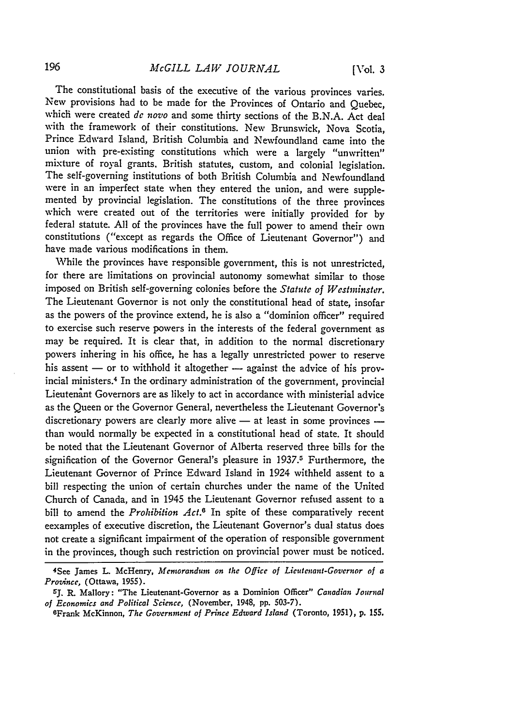The constitutional basis of the executive of the various provinces varies. New provisions had to be made for the Provinces of Ontario and Quebec, which were created **de** *novo* and some thirty sections of the B.N.A. Act deal with the framework of their constitutions. New Brunswick, Nova Scotia, Prince Edward Island, British Columbia and Newfoundland came into the union with pre-existing constitutions which were a largely "unwritten" mixture of royal grants. British statutes, custom, and colonial legislation. The self-governing institutions of both British Columbia and Newfoundland were in an imperfect state when they entered the union, and were supplemented by provincial legislation. The constitutions of the three provinces which were created out of the territories were initially provided for by federal statute. **All** of the provinces have the full power to amend their own constitutions ("except as regards the Office of Lieutenant Governor") and have made various modifications in them.

While the provinces have responsible government, this is not unrestricted, for there are limitations on provincial autonomy somewhat similar to those imposed on British self-governing colonies before the *Statute of Westminster.* The Lieutenant Governor is not only the constitutional head of state, insofar as the powers of the province extend, he is also a "dominion officer" required to exercise such reserve powers in the interests of the federal government as may be required. It is clear that, in addition to the normal discretionary powers inhering in his office, he has a legally unrestricted power to reserve his assent  $-$  or to withhold it altogether  $-$  against the advice of his provincial ministers. 4 In the ordinary administration of the government, provincial Lieutenant Governors are as likely to act in accordance with ministerial advice as the Queen or the Governor General, nevertheless the Lieutenant Governor's discretionary powers are clearly more alive - at least in some provinces than would normally be expected in a constitutional head of state. It should be noted that the Lieutenant Governor of Alberta reserved three bills for the signification of the Governor General's pleasure in 1937.<sup>5</sup> Furthermore, the Lieutenant Governor of Prince Edward Island in 1924 withheld assent to a bill respecting the union of certain churches under the name of the United Church of Canada, and in 1945 the Lieutenant Governor refused assent to a bill to amend the *Prohibition Act.6* In spite of these comparatively recent eexamples of executive discretion, the Lieutenant Governor's dual status does not create a significant impairment of the operation of responsible government in the provinces, though such restriction on provincial power must be noticed.

<sup>4</sup> See James L. McHenry, *Memorandum on* the *Office of Lieutenant-Governor of a Province,* (Ottawa, **1955).**

**<sup>5~</sup>J. R.** Mallory: "The Lieutenant-Governor as a Dominion Officer" *Canadian Journal of Economics and Political Science,* (November, 1948, **pp. 503-7).**

WFrank McKinnon, *The Government of Prince Edward Island* (Toronto, **1951), p. 155.**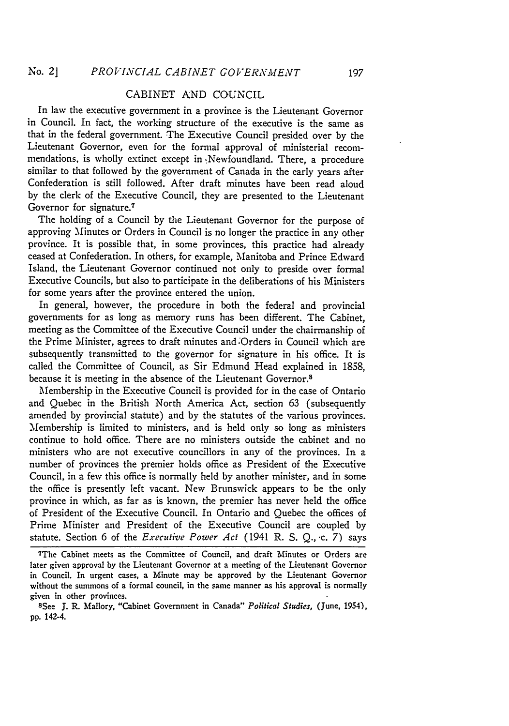# CABINET AND COUNCIL

In law the executive government in a province is the Lieutenant Governor in Council. In fact, the working structure of the executive is the same as that in the federal government. The Executive Council presided over by the Lieutenant Governor, even for the formal approval of ministerial recommendations, is wholly extinct except in :Newfoundland. There, a procedure similar to that followed by the government of Canada in the early years after Confederation is still followed. After draft minutes have been read aloud by the clerk of the Executive Council, they are presented to the Lieutenant Governor for signature.<sup>7</sup>

The holding of a Council by the Lieutenant Governor for the purpose of approving Minutes or Orders in Council is no longer the practice in any other province. It is possible that, in some provinces, this practice had already ceased at Confederation. In others, for example, Manitoba and Prince Edward Island. the Lieutenant Governor continued not only to preside over formal Executive Councils, but also to participate in the deliberations of his Ministers for some years after the province entered the union.

In general, however, the procedure in both the federal and provincial governments for as long as memory runs has been different. The Cabinet, meeting as the Committee of the Executive Council under the chairmanship of the Prime Minister, agrees to draft minutes and Orders in Council which are subsequently transmitted to the governor for signature in his office. It is called the Committee of Council, as Sir Edmund Head explained in 1858, because it is meeting in the absence of the Lieutenant Governor.8

Membership in the Executive Council is provided for in the case of Ontario and Quebec in the British North America Act, section 63 (subsequently amended by provincial statute) and by the statutes of the various provinces. Membership is limited to ministers, and is held only so long as ministers continue to hold office. There are no ministers outside the cabinet and no ministers who are not executive councillors in any of the provinces. In a number of provinces the premier holds office as President of the Executive Council, in a few this office is normally held by another minister, and in some the office is presently left vacant. New Brunswick appears to be the only province in which, as far as is known, the premier has never held the office of President of the Executive Council. In Ontario and Quebec the offices of Prime Minister and President of the Executive Council are coupled by statute. Section 6 of the *Executive Power Act* (1941 R. S. Q., 'c. 7) says

<sup>7</sup>The Cabinet meets as the Committee of Council, and draft Minutes or Orders are later given approval by the Lieutenant Governor at a meeting of the Lieutenant Governor in Council. In urgent cases, a Minute may be approved by the Lieutenant Governor without the summons of a formal council, in the same manner as his approval is normally given in other provinces.<br><sup>8</sup>See J. R. Mallory, "Cabinet Government in Canada" *Political Studies*, (June, 1954),

pp. 142-4.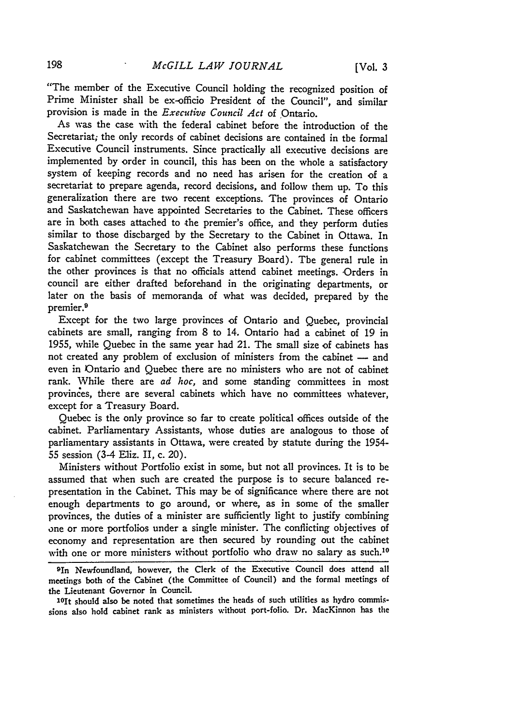"The member of the Executive Council holding the recognized position of Prime Minister shall be ex-officio President of the Council", and similar provision is made in the *Executive Council Act* of Ontario.

As was the case with the federal cabinet before the introduction of the Secretariat; the only records of cabinet decisions are contained in the formal Executive Council instruments. Since practically all executive decisions are implemented by order in council, this has been on the whole a satisfactory system of keeping records and no need has arisen for the creation **of** a secretariat to prepare agenda, record decisions, and follow them up. To this generalization there are two recent exceptions. The provinces of Ontario and Saskatchewan have appointed Secretaries to the Cabinet. These officers are in both cases attached to the premier's office, and they perform duties similar to those discharged by the Secretary to the Cabinet in Ottawa. In Saskatchewan the Secretary to the Cabinet also performs these functions for cabinet committees (except the Treasury Board). The general rule in the other provinces is that no officials attend cabinet meetings. Orders in council are either drafted beforehand in the originating departments, or later on the basis of memoranda of what was decided, prepared by the premier. <sup>9</sup>

Except for the two large provinces of Ontario and Quebec, provincial cabinets are small, ranging from 8 to 14. Ontario had a cabinet of 19 in 1955, while Quebec in the same year had 21. The small size of cabinets has not created any problem of exclusion of ministers from the cabinet **-** and even in Ontario and Quebec there are no ministers who are not of cabinet rank. While there are *ad hoc,* and some standing committees in most provinces, there are several cabinets which have no committees whatever, except for a Treasury Board.

Quebec is the only province so far to create political offices outside of the cabinet. Parliamentary Assistants, whose duties are analogous to those of parliamentary assistants in Ottawa, were created by statute during the 1954- 55 session (3-4 Eliz. II, c. 20).

Ministers without Portfolio exist in some, but not all provinces. It is to be assumed that when such are created the purpose is to secure balanced representation in the Cabinet. This may be of significance where there are not enough departments to go around, or where, as in some of the smaller provinces, the duties of a minister are sufficiently light to justify combining one or more portfolios under a single minister. The conflicting objectives of economy and representation are then secured by rounding out the cabinet with one or more ministers without portfolio who draw no salary as such.<sup>10</sup>

10It should also be noted that sometimes the heads of such utilities as hydro commissions also hold cabinet rank as ministers without port-folio. Dr. MacKinnon has the

<sup>91</sup>n Newfoundland, however, the Clerk of the Executive Council does attend all meetings both of the Cabinet (the Committee of Council) and the formal meetings of the Lieutenant Governor in Council.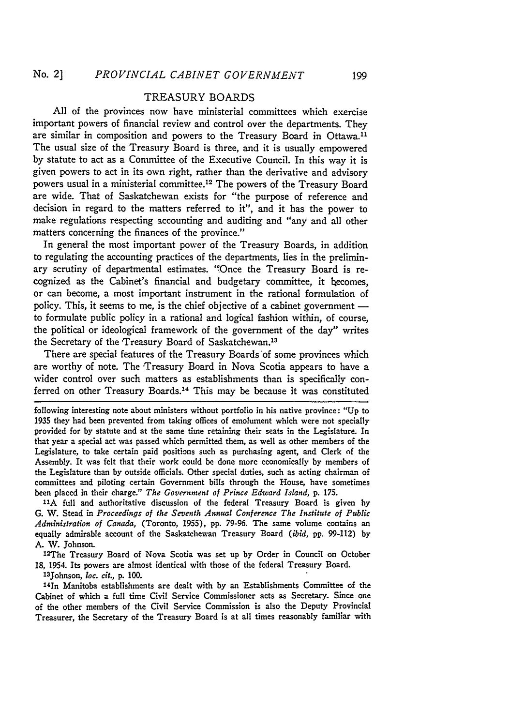# TREASURY BOARDS

All of the provinces now have ministerial committees which exercise important powers of financial review and control over the departments. They are similar in composition and powers to the Treasury Board in Ottawa.<sup>11</sup> The usual size of the Treasury Board is three, and it is usually empowered by statute to act as a Committee of the Executive Council. In this way it is given powers to act in its own right, rather than the derivative and advisory powers usual in a ministerial committee. 12 The powers of the Treasury Board are wide. That of Saskatchewan exists for "the purpose of reference and decision in regard to the matters referred to it", and it has the power to make regulations respecting accounting and auditing and "any and all other matters concerning the finances of the province."

In general the most important power of the Treasury Boards, in addition to regulating the accounting practices of the departments, lies in the preliminary scrutiny of departmental estimates. "Once the Treasury Board is recognized as the Cabinet's financial and budgetary committee, it hecomes, or can become, a most important instrument in the rational formulation of policy. This, it seems to me, is the chief objective of a cabinet government  to formulate public policy in a rational and logical fashion within, of course, the political or ideological framework of the government of the day" writes the Secretary of the Treasury Board of Saskatchewan.<sup>13</sup>

There are special features of the Treasury Boards'of some provinces which are worthy of note. The Treasury Board in Nova Scotia appears to have a wider control over such matters as establishments than is specifically conferred on other Treasury Boards.<sup>14</sup> This may be because it was constituted

following interesting note about ministers without portfolio in his native province: "Up to 1935 they had been prevented from taking offices of emolument which were not specially provided for by statute and at the same time retaining their seats in the Legislature. In that year a special act was passed which permitted them, as well as other members of the Legislature, to take certain paid positions such as purchasing agent, and Clerk *of* the Assembly. It was felt that their work could be done more economically by members of the Legislature than by outside officials. Other special duties, such as acting chairman of committees and piloting certain Government bills through the House, have sometimes been placed in their charge." *The Government of Prince Edward Island,* **p. 175.**

**11A** full and authoritative discussion of the federal Treasury Board is given **by** G. W. Stead in *Proceedings of the Seventh Annual Conference The Institute of Public Administration of Canada,* (Toronto, 1955), **pp.** 79-96. The same volume contains an equally admirable account of the Saskatchewan Treasury Board *(ibid,* **pp.** 99-112) by A. W. Johnson.

<sup>12</sup>The Treasury Board of Nova Scotia was set up by Order in Council on October 18, 1954. Its powers are almost identical with those of the federal Treasury Board.

13Johnson, loc. *cit.,* **p.** 100.

14In Manitoba establishments are dealt with by an Establishments Committee of the Cabinet of which a full time Civil Service Commissioner acts as Secretary. Since one of the other members of the Civil Service Commission is also the Deputy Provincial Treasurer, the Secretary of the Treasury Board is at all times reasonably familiar with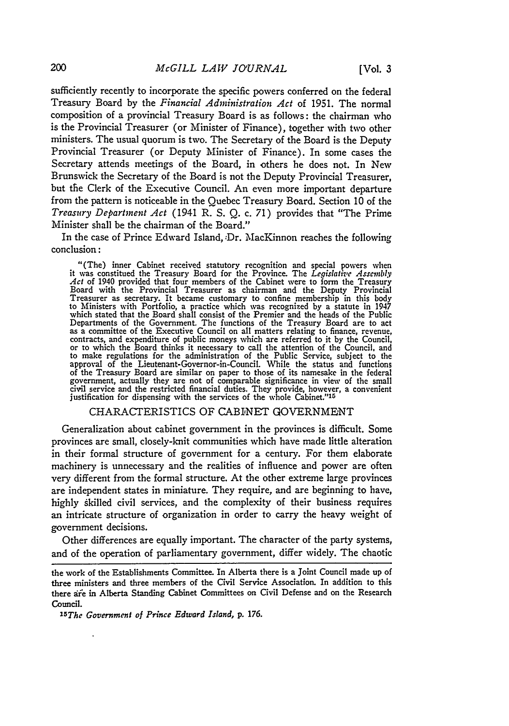sufficiently recently to incorporate the specific powers conferred on the federal Treasury Board by the *Financial Administration Act* of 1951. The normal composition of a provincial Treasury Board is as follows: the chairman who is the Provincial Treasurer (or Minister of Finance), together with two other ministers. The usual quorum is two. The Secretary of the Board is the Deputy Provincial Treasurer (or Deputy Minister of Finance). In some cases the Secretary attends meetings of the Board, in others he does not. In New Brunswick the Secretary of the Board is not the Deputy Provincial Treasurer, but the Clerk of the Executive Council. An even more important departure from the pattern is noticeable in the Quebec Treasury Board. Section 10 of the *Treasury Department Act* (1941 R. S. Q. c. 71) provides that "The Prime Minister shall be the chairman of the Board."

In the case of Prince Edward Island, :Dr. MacKinnon reaches the following conclusion:

"(The) inner Cabinet received statutory recognition and special powers when it was constitued the Treasury Board for the Province. The Legislative Assembly<br>Act of 1940 provided that four members of the Cabinet were to form the Treasury<br>Board with the Provincial Treasurer as chairman and the Deputy Treasurer as secretary. It became customary to confine membership in this body to Ministers with Portfolio, a practice which was recognized by a statute in 1947 which stated that the Board shall consist of the Premier and the heads of the Public<br>Departments of the Government. The functions of the Treasury Board are to act<br>as a committee of the Executive Council on all matters rela contracts, and expenditure of public moneys which are referred to it by the Council, or to which the Board thinks it necessary to call the attention of the Council, and to make regulations for the administration of the Public Service, subject to the approval of the Lieutenant-Governor-in-Council. While the status and functions of the Treasury Board are similar on paper to those of its namesake in the federal government, actually they are not of comparable significance in view of the small civil service and the restricted financial duties. They provide, however, a convenien justification for dispensing with the services of the whole Cabinet."'

#### CHARACTERISTICS OF CABINET GOVERNMENT

Generalization about cabinet government in the provinces is difficult. Some provinces are small, closely-knit communities which have made little alteration in their formal structure of government for a century. For them elaborate machinery is unnecessary and the realities of influence and power are often very different from the formal structure. At the other extreme large provinces are independent states in miniature. They require, and are beginning to have, highly skilled civil services, and the complexity of their business requires an intricate structure of organization in order to carry the heavy weight of government decisions.

Other differences are equally important. The character of the party systems, and of the operation of parliamentary government, differ widely. The chaotic

the work of the Establishments Committee. In Alberta there is a Joint Council made up of three ministers and three members of the Civil Service Association. In addition to this there afe in Alberta Standing Cabinet Committees on Civil Defense and on the Research Council.

*<sup>15</sup>The* Government of *Prince Edward Island,* **p.** 176.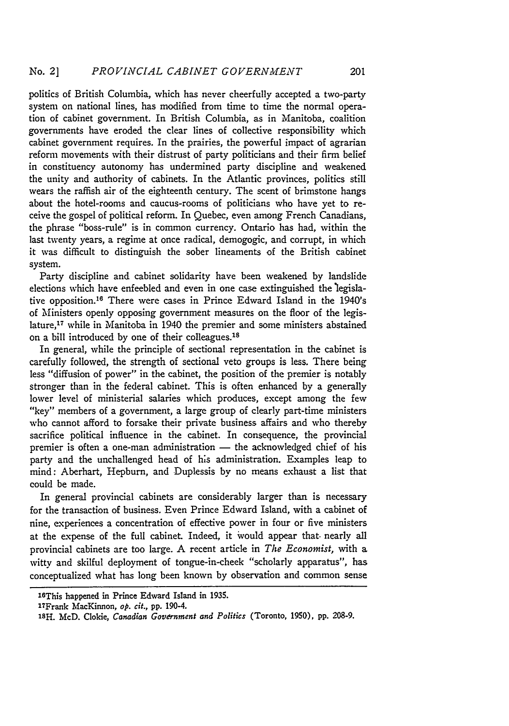politics of British Columbia, which has never cheerfully accepted a two-party system on national lines, has modified from time to time the normal operation of cabinet government. In British Columbia, as in Manitoba, coalition governments have eroded the clear lines of collective responsibility which cabinet government requires. In the prairies, the powerful impact of agrarian reform movements with their distrust of party politicians and their firm belief in constituency autonomy has undermined party discipline and weakened the unity and authority of cabinets. In the Atlantic provinces, politics still wears the raffish air of the eighteenth century. The scent of brimstone hangs about the hotel-rooms and caucus-rooms of politicians who have yet to receive the gospel of political reform. In Quebec, even among French Canadians, the phrase "boss-rule" is in common currency. Ontario has had, within the last twenty years, a regime at once radical, demogogic, and corrupt, in which it was difficult to distinguish the sober lineaments of the British cabinet system.

Party discipline and cabinet solidarity have been weakened by landslide elections which have enfeebled and even in one case extinguished the 'legislative opposition. 16 There were cases in Prince Edward Island in the 1940's of Ministers openly opposing government measures on the floor of the legislature, 17 while in Manitoba in 1940 the premier and some ministers abstained on a bill introduced by one of their colleagues.<sup>18</sup>

In general, while the principle of sectional representation in the cabinet is carefully followed, the strength of sectional veto groups is less. There being less "diffusion of power" in the cabinet, the position of the premier is notably stronger than in the federal cabinet. This is often enhanced by a generally lower level of ministerial salaries which produces, except among the few "key" members of a government, a large group of clearly part-time ministers who cannot afford to forsake their private business affairs and who thereby sacrifice political influence in the cabinet. In consequence, the provincial premier is often a one-man administration - the acknowledged chief of his party and the unchallenged head of his administration. Examples leap to mind: Aberhart, Hepburn, and Duplessis by no means exhaust a list that could be made.

In general provincial cabinets are considerably larger than is necessary for the transaction of business. Even Prince Edward Island, with a cabinet of nine, experiences a concentration of effective power in four or five ministers at the expense of the full cabinet. Indeed, it would appear that. nearly all provincial cabinets are too large. A recent article in *The Economist,* with a witty and skilful deployment of tongue-in-cheek "scholarly apparatus", has conceptualized what has long been known by observation and common sense

l 6This happened in Prince Edward Island in **1935.**

<sup>27</sup>Frank MacKinnon, *op. cit.,* **pp.** 190-4.

<sup>18</sup>H. McD. Clokie, *Canadian Government and Politics* (Toronto, **1950), pp. 208-9.**